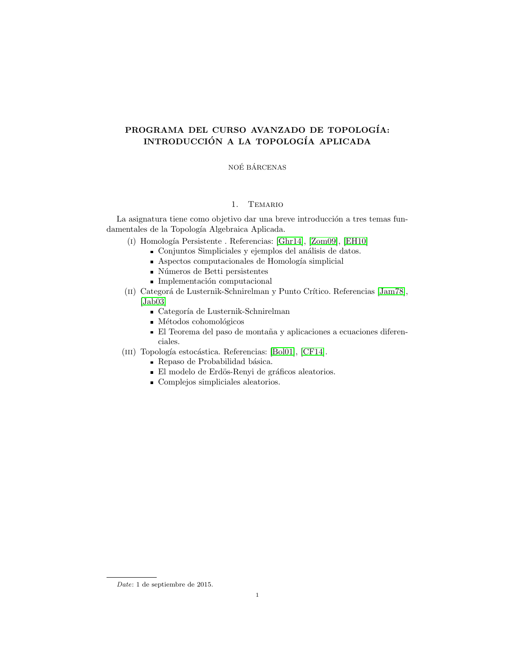## PROGRAMA DEL CURSO AVANZADO DE TOPOLOGÍA: INTRODUCCIÓN A LA TOPOLOGÍA APLICADA

NOÉ BÁRCENAS

## 1. Temario

La asignatura tiene como objetivo dar una breve introducción a tres temas fundamentales de la Topología Algebraica Aplicada.

- (I) Homología Persistente . Referencias: [\[Ghr14\]](#page-1-0), [\[Zom09\]](#page-1-1), [\[EH10\]](#page-1-2)
	- $\blacksquare$  Conjuntos Simpliciales y ejemplos del análisis de datos.
	- $\blacksquare$  Aspectos computacionales de Homología simplicial
	- $\blacksquare$  Números de Betti persistentes
	- $\blacksquare$  Implementación computacional
- (II) Categorá de Lusternik-Schnirelman y Punto Crítico. Referencias [\[Jam78\]](#page-1-3), [\[Jab03\]](#page-1-4)
	- $\blacksquare$ Categoría de Lusternik-Schnirelman
	- $\blacksquare$  Métodos cohomológicos
	- El Teorema del paso de montaña y aplicaciones a ecuaciones diferenciales.
- (III) Topología estocástica. Referencias: [\[Bol01\]](#page-1-5), [\[CF14\]](#page-1-6).
	- $\blacksquare$  Repaso de Probabilidad básica.
	- $\blacksquare$ El modelo de Erdös-Renyi de gráficos aleatorios.
	- Complejos simpliciales aleatorios.

Date: 1 de septiembre de 2015.